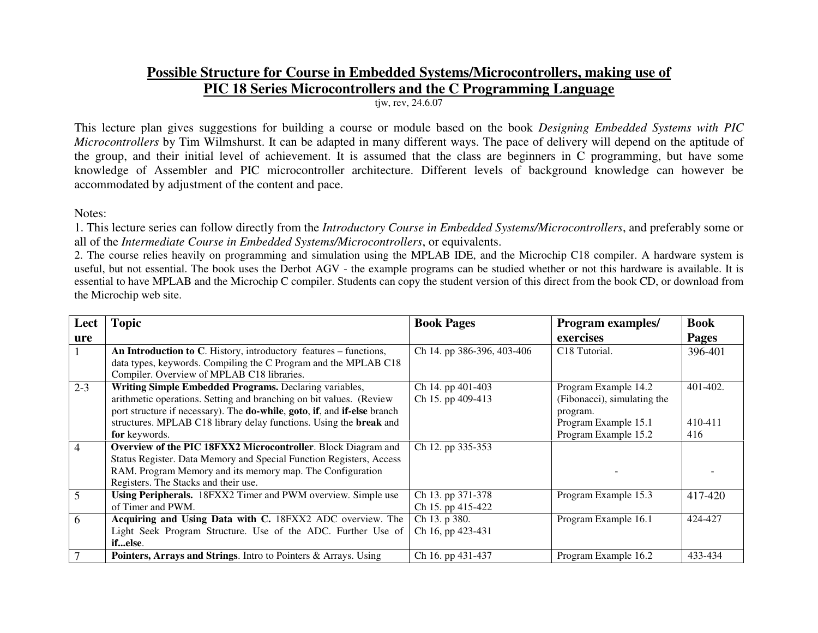## **Possible Structure for Course in Embedded Systems/Microcontrollers, making use ofPIC 18 Series Microcontrollers and the C Programming Language**

tjw, rev, 24.6.07

This lecture plan gives suggestions for building a course or module based on the book *Designing Embedded Systems with PIC Microcontrollers* by Tim Wilmshurst. It can be adapted in many different ways. The pace of delivery will depend on the aptitude of the group, and their initial level of achievement. It is assumed that the class are beginners in C programming, but have some knowledge of Assembler and PIC microcontroller architecture. Different levels of background knowledge can however be accommodated by adjustment of the content and pace.

Notes:

1. This lecture series can follow directly from the *Introductory Course in Embedded Systems/Microcontrollers*, and preferably some or all of the *Intermediate Course in Embedded Systems/Microcontrollers*, or equivalents.

 2. The course relies heavily on programming and simulation using the MPLAB IDE, and the Microchip C18 compiler. A hardware system is useful, but not essential. The book uses the Derbot AGV - the example programs can be studied whether or not this hardware is available. It is essential to have MPLAB and the Microchip C compiler. Students can copy the student version of this direct from the book CD, or download from the Microchip web site.

| Lect           | <b>Topic</b>                                                             | <b>Book Pages</b>          | <b>Program examples/</b>    | <b>Book</b>  |
|----------------|--------------------------------------------------------------------------|----------------------------|-----------------------------|--------------|
| ure            |                                                                          |                            | exercises                   | <b>Pages</b> |
|                | An Introduction to C. History, introductory features – functions,        | Ch 14. pp 386-396, 403-406 | C18 Tutorial.               | 396-401      |
|                | data types, keywords. Compiling the C Program and the MPLAB C18          |                            |                             |              |
|                | Compiler. Overview of MPLAB C18 libraries.                               |                            |                             |              |
| $2 - 3$        | Writing Simple Embedded Programs. Declaring variables,                   | Ch 14. pp 401-403          | Program Example 14.2        | 401-402.     |
|                | arithmetic operations. Setting and branching on bit values. (Review      | Ch 15. pp 409-413          | (Fibonacci), simulating the |              |
|                | port structure if necessary). The do-while, goto, if, and if-else branch |                            | program.                    |              |
|                | structures. MPLAB C18 library delay functions. Using the break and       |                            | Program Example 15.1        | 410-411      |
|                | for keywords.                                                            |                            | Program Example 15.2        | 416          |
| $\overline{4}$ | Overview of the PIC 18FXX2 Microcontroller. Block Diagram and            | Ch 12. pp 335-353          |                             |              |
|                | Status Register. Data Memory and Special Function Registers, Access      |                            |                             |              |
|                | RAM. Program Memory and its memory map. The Configuration                |                            |                             |              |
|                | Registers. The Stacks and their use.                                     |                            |                             |              |
| 5              | Using Peripherals. 18FXX2 Timer and PWM overview. Simple use             | Ch 13. pp 371-378          | Program Example 15.3        | 417-420      |
|                | of Timer and PWM.                                                        | Ch 15. pp 415-422          |                             |              |
| 6              | Acquiring and Using Data with C. 18FXX2 ADC overview. The                | Ch 13. p 380.              | Program Example 16.1        | 424-427      |
|                | Light Seek Program Structure. Use of the ADC. Further Use of             | Ch 16, pp 423-431          |                             |              |
|                | ifelse.                                                                  |                            |                             |              |
|                | <b>Pointers, Arrays and Strings.</b> Intro to Pointers & Arrays. Using   | Ch 16. pp 431-437          | Program Example 16.2        | 433-434      |